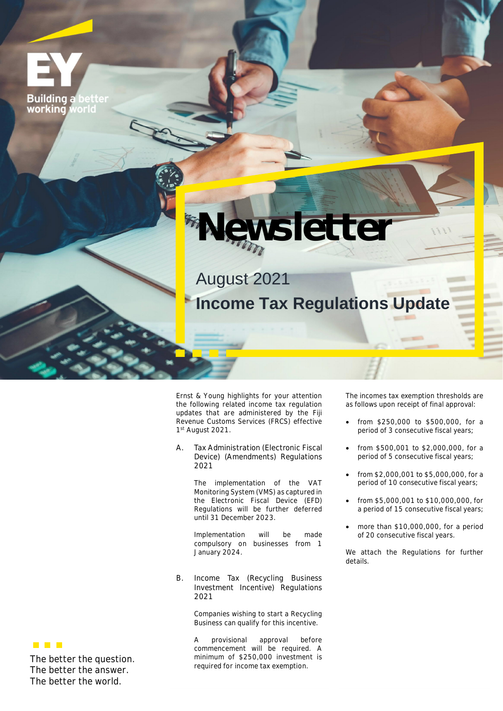**Building a** working voric



August 2021 **Income Tax Regulations Update**

Ernst & Young highlights for your attention the following related income tax regulation updates that are administered by the Fiji Revenue Customs Services (FRCS) effective 1st August 2021.

**A. Tax Administration (Electronic Fiscal Device) (Amendments) Regulations 2021**

> The implementation of the VAT Monitoring System (VMS) as captured in the Electronic Fiscal Device (EFD) Regulations will be further deferred until 31 December 2023.

> Implementation will be made compulsory on businesses from 1 January 2024.

**B. Income Tax (Recycling Business Investment Incentive) Regulations 2021**

> Companies wishing to start a Recycling Business can qualify for this incentive.

A provisional approval before commencement will be required. A minimum of \$250,000 investment is required for income tax exemption.

The incomes tax exemption thresholds are as follows upon receipt of final approval:

- from \$250,000 to \$500,000, for a period of 3 consecutive fiscal years;
- from \$500,001 to \$2,000,000, for a period of 5 consecutive fiscal years;
- from \$2,000,001 to \$5,000,000, for a period of 10 consecutive fiscal years;
- from \$5,000,001 to \$10,000,000, for a period of 15 consecutive fiscal years;
- more than \$10,000,000, for a period of 20 consecutive fiscal years.

We attach the Regulations for further details.

**THE R** 

**The better the question. The better the answer. The better the world.**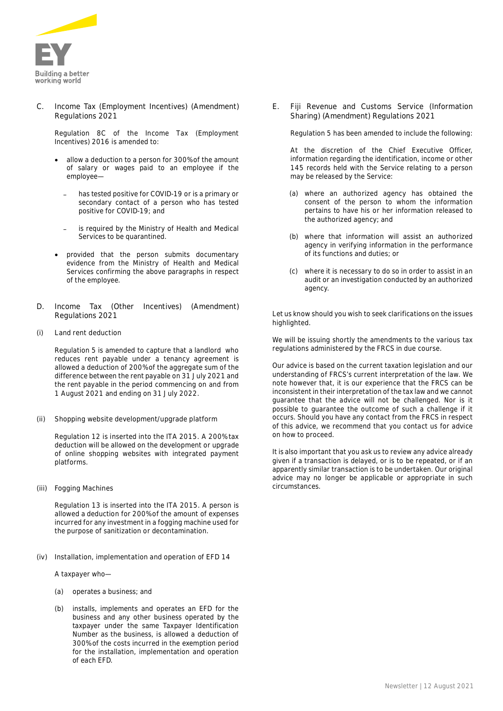

**C. Income Tax (Employment Incentives) (Amendment) Regulations 2021**

Regulation 8C of the Income Tax (Employment Incentives) 2016 is amended to:

- allow a deduction to a person for 300% of the amount of salary or wages paid to an employee if the employee
	- has tested positive for COVID-19 or is a primary or secondary contact of a person who has tested positive for COVID-19; and
	- is required by the Ministry of Health and Medical Services to be quarantined.
- provided that the person submits documentary evidence from the Ministry of Health and Medical Services confirming the above paragraphs in respect of the employee.
- **D. Income Tax (Other Incentives) (Amendment) Regulations 2021**
- **(i) Land rent deduction**

Regulation 5 is amended to capture that a landlord who reduces rent payable under a tenancy agreement is allowed a deduction of 200% of the aggregate sum of the difference between the rent payable on 31 July 2021 and the rent payable in the period commencing on and from 1 August 2021 and ending on 31 July 2022.

**(ii) Shopping website development/upgrade platform**

Regulation 12 is inserted into the ITA 2015. A 200% tax deduction will be allowed on the development or upgrade of online shopping websites with integrated payment platforms.

**(iii) Fogging Machines**

Regulation 13 is inserted into the ITA 2015. A person is allowed a deduction for 200% of the amount of expenses incurred for any investment in a fogging machine used for the purpose of sanitization or decontamination.

**(iv) Installation, implementation and operation of EFD 14**

A taxpayer who—

- (a) operates a business; and
- (b) installs, implements and operates an EFD for the business and any other business operated by the taxpayer under the same Taxpayer Identification Number as the business, is allowed a deduction of 300% of the costs incurred in the exemption period for the installation, implementation and operation of each EFD.

**E. Fiji Revenue and Customs Service (Information Sharing) (Amendment) Regulations 2021**

Regulation 5 has been amended to include the following:

At the discretion of the Chief Executive Officer, information regarding the identification, income or other 145 records held with the Service relating to a person may be released by the Service:

- (a) where an authorized agency has obtained the consent of the person to whom the information pertains to have his or her information released to the authorized agency; and
- (b) where that information will assist an authorized agency in verifying information in the performance of its functions and duties; or
- (c) where it is necessary to do so in order to assist in an audit or an investigation conducted by an authorized agency.

Let us know should you wish to seek clarifications on the issues highlighted.

We will be issuing shortly the amendments to the various tax regulations administered by the FRCS in due course.

*Our advice is based on the current taxation legislation and our understanding of FRCS's current interpretation of the law. We note however that, it is our experience that the FRCS can be inconsistent in their interpretation of the tax law and we cannot guarantee that the advice will not be challenged. Nor is it possible to guarantee the outcome of such a challenge if it occurs. Should you have any contact from the FRCS in respect of this advice, we recommend that you contact us for advice on how to proceed.*

*It is also important that you ask us to review any advice already given if a transaction is delayed, or is to be repeated, or if an apparently similar transaction is to be undertaken. Our original advice may no longer be applicable or appropriate in such circumstances.*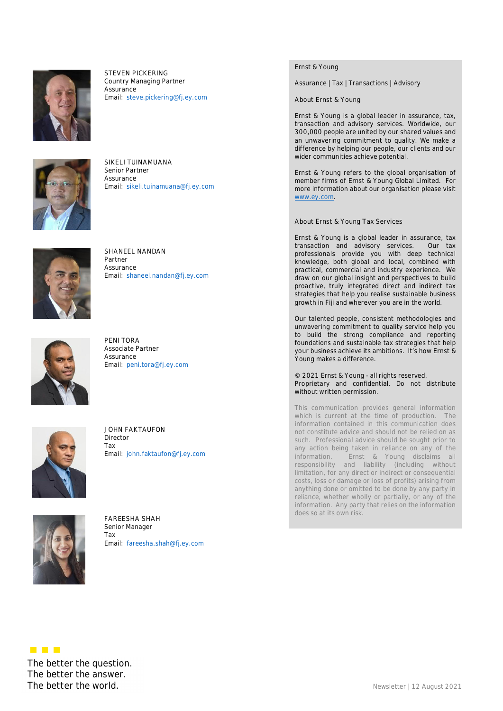

**STEVEN PICKERING** Country Managing Partner Assurance Email: steve.pickering@fj.ey.com



**SIKELI TUINAMUANA** Senior Partner Assurance Email: sikeli.tuinamuana@fj.ey.com



**SHANEEL NANDAN** Partner Assurance Email: shaneel.nandan@fj.ey.com



**PENI TORA** Associate Partner Assurance Email: peni.tora@fj.ey.com



**JOHN FAKTAUFON** Director Tax Email: john.faktaufon@fj.ey.com



**FAREESHA SHAH** Senior Manager Tax Email: fareesha.shah@fj.ey.com Ernst & Young

Assurance | Tax | Transactions | Advisory

**About Ernst & Young**

Ernst & Young is a global leader in assurance, tax, transaction and advisory services. Worldwide, our 300,000 people are united by our shared values and an unwavering commitment to quality. We make a difference by helping our people, our clients and our wider communities achieve potential.

Ernst & Young refers to the global organisation of member firms of Ernst & Young Global Limited. For more information about our organisation please visit www.ey.com.

**About Ernst & Young Tax Services**

Ernst & Young is a global leader in assurance, tax transaction and advisory services. Our tax professionals provide you with deep technical knowledge, both global and local, combined with practical, commercial and industry experience. We draw on our global insight and perspectives to build proactive, truly integrated direct and indirect tax strategies that help you realise sustainable business growth in Fiji and wherever you are in the world.

Our talented people, consistent methodologies and unwavering commitment to quality service help you to build the strong compliance and reporting foundations and sustainable tax strategies that help your business achieve its ambitions. It's how Ernst & Young makes a difference.

© 2021 Ernst & Young - all rights reserved. Proprietary and confidential. Do not distribute without written permission.

This communication provides general information which is current at the time of production. The information contained in this communication does not constitute advice and should not be relied on as such. Professional advice should be sought prior to any action being taken in reliance on any of the information. Ernst & Young disclaims all responsibility and liability (including without limitation, for any direct or indirect or consequential costs, loss or damage or loss of profits) arising from anything done or omitted to be done by any party in reliance, whether wholly or partially, or any of the information. Any party that relies on the information does so at its own risk.

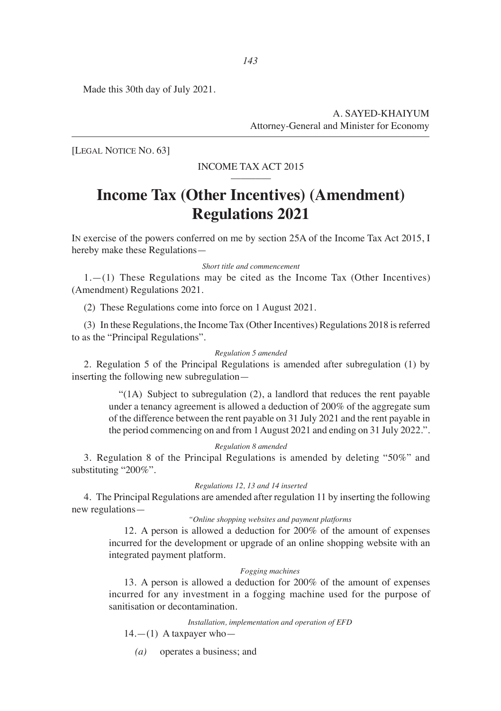Made this 30th day of July 2021.

A. SAYED-KHAIYUM Attorney-General and Minister for Economy

[LEGAL NOTICE NO. 63]

### INCOME TAX ACT 2015

# **Income Tax (Other Incentives) (Amendment) Regulations 2021**

IN exercise of the powers conferred on me by section 25A of the Income Tax Act 2015, I hereby make these Regulations—

#### *Short title and commencement*

 $1.-(1)$  These Regulations may be cited as the Income Tax (Other Incentives) (Amendment) Regulations 2021.

(2) These Regulations come into force on 1 August 2021.

(3) In these Regulations, the Income Tax (Other Incentives) Regulations 2018 is referred to as the "Principal Regulations".

#### *Regulation 5 amended*

2. Regulation 5 of the Principal Regulations is amended after subregulation (1) by inserting the following new subregulation—

> "(1A) Subject to subregulation (2), a landlord that reduces the rent payable under a tenancy agreement is allowed a deduction of 200% of the aggregate sum of the difference between the rent payable on 31 July 2021 and the rent payable in the period commencing on and from 1 August 2021 and ending on 31 July 2022.".

#### *Regulation 8 amended*

3. Regulation 8 of the Principal Regulations is amended by deleting "50%" and substituting "200%".

#### *Regulations 12, 13 and 14 inserted*

4. The Principal Regulations are amended after regulation 11 by inserting the following new regulations—

#### *"Online shopping websites and payment platforms*

 12. A person is allowed a deduction for 200% of the amount of expenses incurred for the development or upgrade of an online shopping website with an integrated payment platform.

#### *Fogging machines*

 13. A person is allowed a deduction for 200% of the amount of expenses incurred for any investment in a fogging machine used for the purpose of sanitisation or decontamination.

*Installation, implementation and operation of EFD*

 $14.$ — $(1)$  A taxpayer who—

*(a)* operates a business; and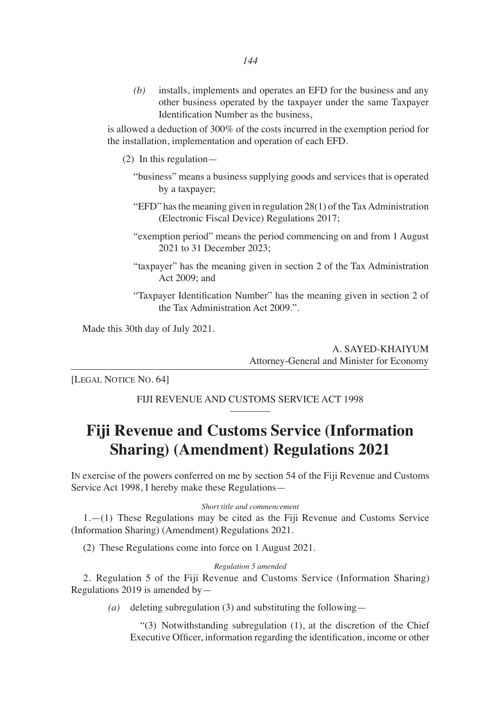*(b)* installs, implements and operates an EFD for the business and any other business operated by the taxpayer under the same Taxpayer Identification Number as the business,

is allowed a deduction of 300% of the costs incurred in the exemption period for the installation, implementation and operation of each EFD.

(2) In this regulation—

- "business" means a business supplying goods and services that is operated by a taxpayer;
- "EFD" has the meaning given in regulation 28(1) of the Tax Administration (Electronic Fiscal Device) Regulations 2017;
- "exemption period" means the period commencing on and from 1 August 2021 to 31 December 2023;
- "taxpayer" has the meaning given in section 2 of the Tax Administration Act 2009; and
- "Taxpayer Identification Number" has the meaning given in section 2 of the Tax Administration Act 2009.".

Made this 30th day of July 2021.

A. SAYED-KHAIYUM Attorney-General and Minister for Economy

[LEGAL NOTICE NO. 64]

FIJI REVENUE AND CUSTOMS SERVICE ACT 1998

# **Fiji Revenue and Customs Service (Information Sharing) (Amendment) Regulations 2021**

IN exercise of the powers conferred on me by section 54 of the Fiji Revenue and Customs Service Act 1998, I hereby make these Regulations—

#### *Short title and commencement*

1.—(1) These Regulations may be cited as the Fiji Revenue and Customs Service (Information Sharing) (Amendment) Regulations 2021.

(2) These Regulations come into force on 1 August 2021.

#### *Regulation 5 amended*

2. Regulation 5 of the Fiji Revenue and Customs Service (Information Sharing) Regulations 2019 is amended by—

*(a)* deleting subregulation (3) and substituting the following—

 "(3) Notwithstanding subregulation (1), at the discretion of the Chief Executive Officer, information regarding the identification, income or other